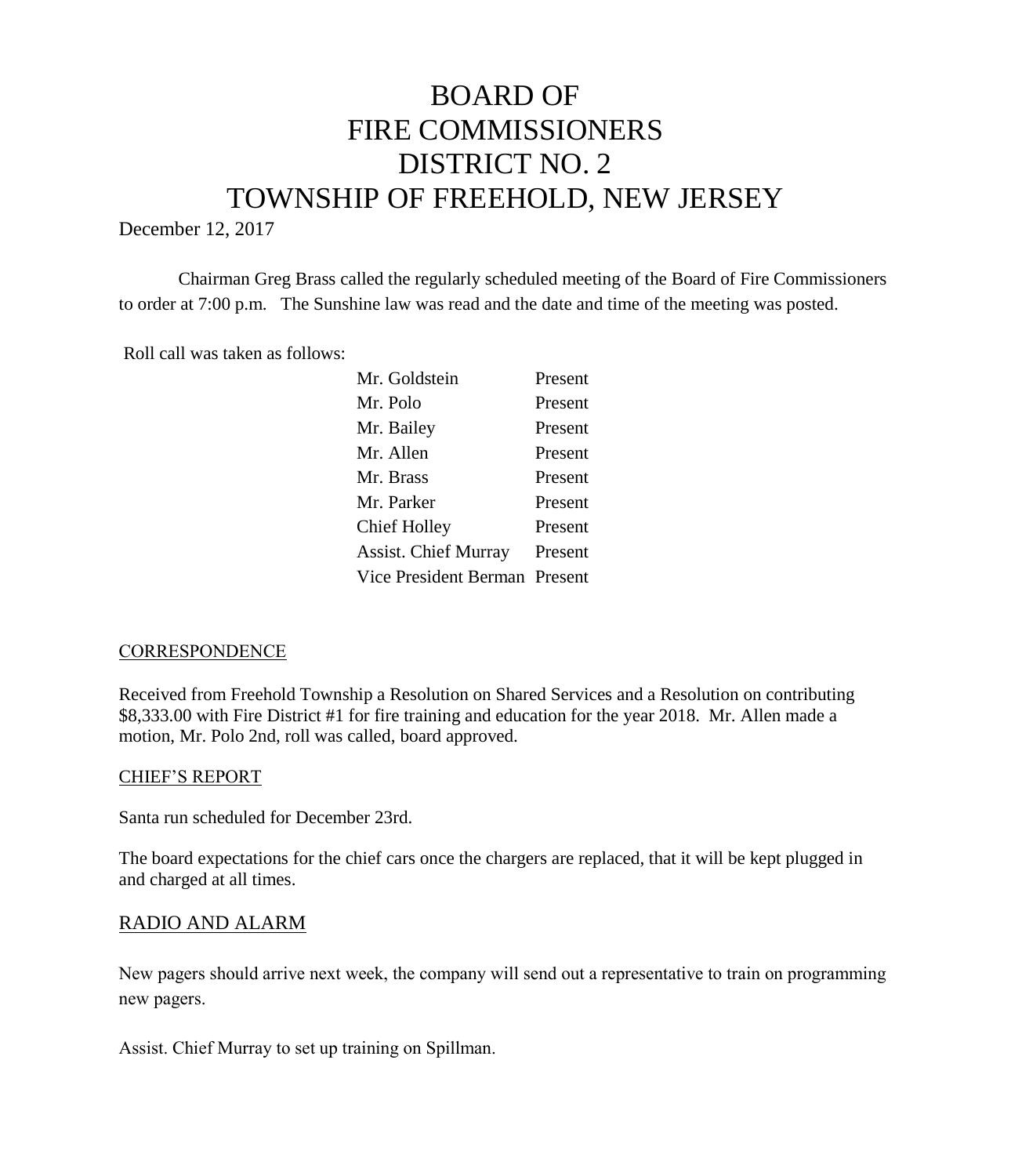# BOARD OF FIRE COMMISSIONERS DISTRICT NO. 2 TOWNSHIP OF FREEHOLD, NEW JERSEY

December 12, 2017

Chairman Greg Brass called the regularly scheduled meeting of the Board of Fire Commissioners to order at 7:00 p.m. The Sunshine law was read and the date and time of the meeting was posted.

Roll call was taken as follows:

| Mr. Goldstein                 | Present |
|-------------------------------|---------|
| Mr. Polo                      | Present |
| Mr. Bailey                    | Present |
| Mr. Allen                     | Present |
| Mr. Brass                     | Present |
| Mr. Parker                    | Present |
| Chief Holley                  | Present |
| <b>Assist. Chief Murray</b>   | Present |
| Vice President Berman Present |         |
|                               |         |

#### **CORRESPONDENCE**

Received from Freehold Township a Resolution on Shared Services and a Resolution on contributing \$8,333.00 with Fire District #1 for fire training and education for the year 2018. Mr. Allen made a motion, Mr. Polo 2nd, roll was called, board approved.

#### CHIEF'S REPORT

Santa run scheduled for December 23rd.

The board expectations for the chief cars once the chargers are replaced, that it will be kept plugged in and charged at all times.

# RADIO AND ALARM

New pagers should arrive next week, the company will send out a representative to train on programming new pagers.

Assist. Chief Murray to set up training on Spillman.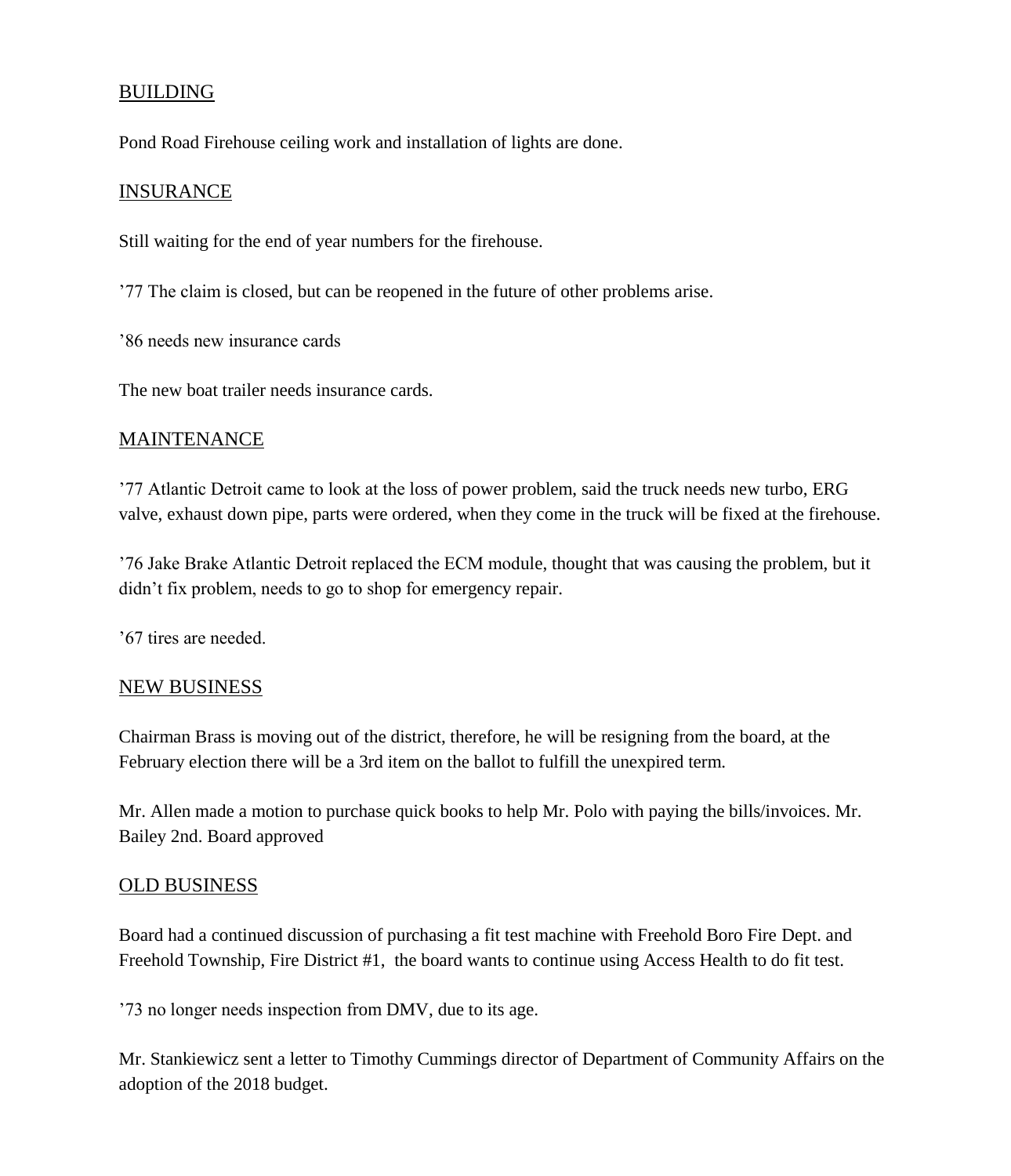# BUILDING

Pond Road Firehouse ceiling work and installation of lights are done.

#### INSURANCE

Still waiting for the end of year numbers for the firehouse.

'77 The claim is closed, but can be reopened in the future of other problems arise.

'86 needs new insurance cards

The new boat trailer needs insurance cards.

#### MAINTENANCE

'77 Atlantic Detroit came to look at the loss of power problem, said the truck needs new turbo, ERG valve, exhaust down pipe, parts were ordered, when they come in the truck will be fixed at the firehouse.

'76 Jake Brake Atlantic Detroit replaced the ECM module, thought that was causing the problem, but it didn't fix problem, needs to go to shop for emergency repair.

'67 tires are needed.

#### NEW BUSINESS

Chairman Brass is moving out of the district, therefore, he will be resigning from the board, at the February election there will be a 3rd item on the ballot to fulfill the unexpired term.

Mr. Allen made a motion to purchase quick books to help Mr. Polo with paying the bills/invoices. Mr. Bailey 2nd. Board approved

#### OLD BUSINESS

Board had a continued discussion of purchasing a fit test machine with Freehold Boro Fire Dept. and Freehold Township, Fire District #1, the board wants to continue using Access Health to do fit test.

'73 no longer needs inspection from DMV, due to its age.

Mr. Stankiewicz sent a letter to Timothy Cummings director of Department of Community Affairs on the adoption of the 2018 budget.